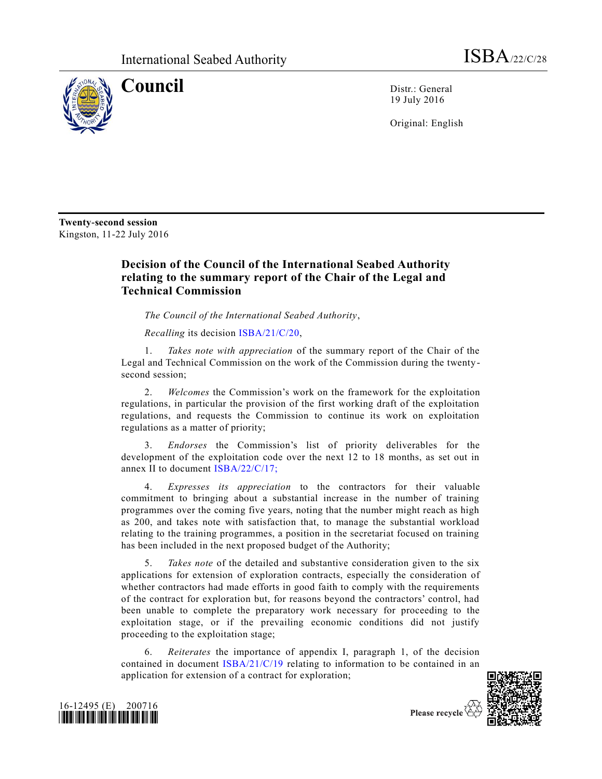

**Council** Distr.: General 19 July 2016

Original: English

**Twenty-second session**  Kingston, 11-22 July 2016

## **Decision of the Council of the International Seabed Authority relating to the summary report of the Chair of the Legal and Technical Commission**

*The Council of the International Seabed Authority*,

*Recalling* its decision [ISBA/21/C/20,](http://undocs.org/ISBA/21/C/20)

Takes note with appreciation of the summary report of the Chair of the Legal and Technical Commission on the work of the Commission during the twentysecond session;

2. *Welcomes* the Commission's work on the framework for the exploitation regulations, in particular the provision of the first working draft of the exploitation regulations, and requests the Commission to continue its work on exploitation regulations as a matter of priority;

3. *Endorses* the Commission's list of priority deliverables for the development of the exploitation code over the next 12 to 18 months, as set out in annex II to document [ISBA/22/C/17;](http://undocs.org/ISBA/22/C/17;)

4. *Expresses its appreciation* to the contractors for their valuable commitment to bringing about a substantial increase in the number of training programmes over the coming five years, noting that the number might reach as high as 200, and takes note with satisfaction that, to manage the substantial workload relating to the training programmes, a position in the secretariat focused on training has been included in the next proposed budget of the Authority;

5. *Takes note* of the detailed and substantive consideration given to the six applications for extension of exploration contracts, especially the consideration of whether contractors had made efforts in good faith to comply with the requirements of the contract for exploration but, for reasons beyond the contractors' control, had been unable to complete the preparatory work necessary for proceeding to the exploitation stage, or if the prevailing economic conditions did not justify proceeding to the exploitation stage;

6. *Reiterates* the importance of appendix I, paragraph 1, of the decision contained in document [ISBA/21/C/19](http://undocs.org/ISBA/21/C/19) relating to information to be contained in an application for extension of a contract for exploration;





Please recycle  $\Diamond$